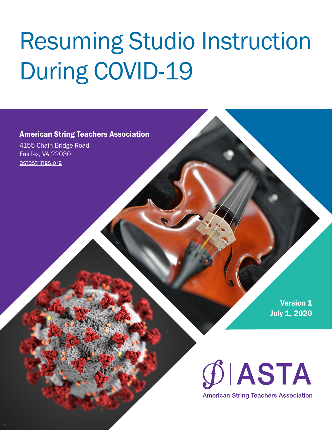# Resuming Studio Instruction During COVID-19

### American String Teachers Association

4155 Chain Bridge Road Fairfax, VA 22030 [astastrings.org](https://astastrings.org/)

> **Version 1** July 1, 2020

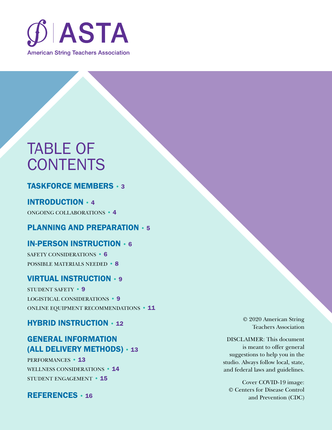

## TABLE OF **CONTENTS**

## [TASKFORCE MEMBERS](#page-2-0) • 3

## [INTRODUCTION](#page-3-0) • 4

ONGOING COLLABORATIONS • 4

## [PLANNING AND PREPARATION](#page-4-0) • 5

### [IN-PERSON INSTRUCTION](#page-5-0) • 6

SAFETY CONSIDERATIONS • 6 [POSSIBLE MATERIALS NEEDED](#page-7-0) • 8

## [VIRTUAL INSTRUCTION](#page-8-0) • 9

STUDENT SAFETY • 9 LOGISTICAL CONSIDERATIONS • 9 [ONLINE EQUIPMENT RECOMMENDATIONS](#page-10-0) • 11

### [HYBRID INSTRUCTION](#page-11-0) • 12

## GENERAL INFORMATION [\(ALL DELIVERY METHODS\)](#page-12-0) • 13

PERFORMANCES • 13 [WELLNESS CONSIDERATIONS](#page-13-0) • 14 [STUDENT ENGAGEMENT](#page-14-0) • 15

### [REFERENCES](#page-15-0) • 16

© 2020 American String Teachers Association

DISCLAIMER: This document is meant to offer general suggestions to help you in the studio. Always follow local, state, and federal laws and guidelines.

Cover COVID-19 image: © Centers for Disease Control and Prevention (CDC)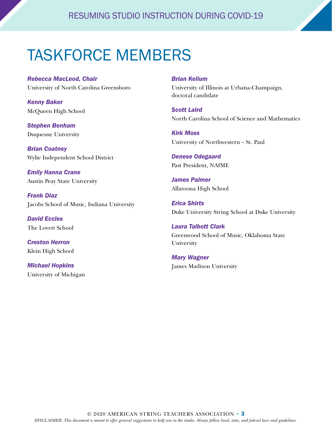## <span id="page-2-0"></span>TASKFORCE MEMBERS

*Rebecca MacLeod, Chair* University of North Carolina Greensboro

*Kenny Baker* McQueen High School

*Stephen Benham* Duquesne University

*Brian Coatney* Wylie Independent School District

*Emily Hanna Crane* Austin Peay State University

*Frank Diaz* Jacobs School of Music, Indiana University

*David Eccles* The Lovett School

*Creston Herron* Klein High School

*Michael Hopkins* University of Michigan

#### *Brian Kellum*

University of Illinois at Urbana-Champaign, doctoral candidate

*Scott Laird* North Carolina School of Science and Mathematics

*Kirk Moss* University of Northwestern – St. Paul

*Denese Odegaard* Past President, NAfME

*James Palmer* Allatoona High School

*Erica Shirts* Duke University String School at Duke University

*Laura Talbott Clark* Greenwood School of Music, Oklahoma State University

*Mary Wagner* James Madison University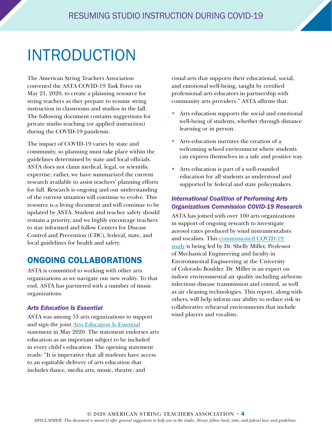## <span id="page-3-0"></span>INTRODUCTION

The American String Teachers Association convened the ASTA COVID-19 Task Force on May 21, 2020, to create a planning resource for string teachers as they prepare to resume string instruction in classrooms and studios in the fall. The following document contains suggestions for private studio teaching (or applied instruction) during the COVID-19 pandemic.

The impact of COVID-19 varies by state and community, so planning must take place within the guidelines determined by state and local officials. ASTA does not claim medical, legal, or scientific expertise; rather, we have summarized the current research available to assist teachers' planning efforts for fall. Research is ongoing and our understanding of the current situation will continue to evolve. This resource is a living document and will continue to be updated by ASTA. Student and teacher safety should remain a priority, and we highly encourage teachers to stay informed and follow Centers for Disease Control and Prevention (CDC), federal, state, and local guidelines for health and safety.

## ONGOING COLLABORATIONS

ASTA is committed to working with other arts organizations as we navigate our new reality. To that end, ASTA has partnered with a number of music organizations.

### *Arts Education Is Essential*

ASTA was among 53 arts organizations to support and sign the joint [Arts Education Is Essential](https://www.astastrings.org/Web/Resources/Advocacy/Arts_Education_Is_Essential.aspx) statement in May 2020. The statement endorses arts education as an important subject to be included in every child's education. The opening statement reads: "It is imperative that all students have access to an equitable delivery of arts education that includes dance, media arts, music, theatre, and

visual arts that supports their educational, social, and emotional well-being, taught by certified professional arts educators in partnership with community arts providers." ASTA affirms that:

- Arts education supports the social and emotional well-being of students, whether through distance learning or in person.
- Arts education nurtures the creation of a welcoming school environment where students can express themselves in a safe and positive way.
- Arts education is part of a well-rounded education for all students as understood and supported by federal and state policymakers.

### *International Coalition of Performing Arts Organizations Commission COVID-19 Research*

ASTA has joined with over 100 arts organizations in support of ongoing research to investigate aerosol rates produced by wind instrumentalists and vocalists. This [commissioned COVID-19](https://www.nfhs.org/articles/unprecedented-international-coalition-led-by-performing-arts-organizations-to-commission-covid-19-study/)  [study](https://www.nfhs.org/articles/unprecedented-international-coalition-led-by-performing-arts-organizations-to-commission-covid-19-study/) is being led by Dr. Shelly Miller, Professor of Mechanical Engineering and faculty in Environmental Engineering at the University of Colorado Boulder. Dr. Miller is an expert on indoor environmental air quality including airborne infectious disease transmission and control, as well as air cleaning technologies. This report, along with others, will help inform our ability to reduce risk in collaborative rehearsal environments that include wind players and vocalists.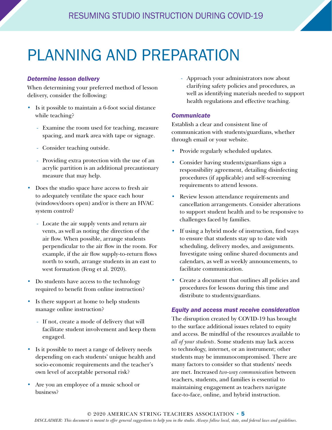## <span id="page-4-0"></span>PLANNING AND PREPARATION

#### *Determine lesson delivery*

When determining your preferred method of lesson delivery, consider the following:

- Is it possible to maintain a 6-foot social distance while teaching?
	- Examine the room used for teaching, measure spacing, and mark area with tape or signage.
	- Consider teaching outside.
	- Providing extra protection with the use of an acrylic partition is an additional precautionary measure that may help.
- Does the studio space have access to fresh air to adequately ventilate the space each hour (windows/doors open) and/or is there an HVAC system control?
	- Locate the air supply vents and return air vents, as well as noting the direction of the air flow. When possible, arrange students perpendicular to the air flow in the room. For example, if the air flow supply-to-return flows north to south, arrange students in an east to west formation (Feng et al. 2020).
- Do students have access to the technology required to benefit from online instruction?
- Is there support at home to help students manage online instruction?
	- If not, create a mode of delivery that will facilitate student involvement and keep them engaged.
- Is it possible to meet a range of delivery needs depending on each students' unique health and socio-economic requirements and the teacher's own level of acceptable personal risk?
- Are you an employee of a music school or business?

- Approach your administrators now about clarifying safety policies and procedures, as well as identifying materials needed to support health regulations and effective teaching.

#### *Communicate*

Establish a clear and consistent line of communication with students/guardians, whether through email or your website.

- Provide regularly scheduled updates.
- Consider having students/guardians sign a responsibility agreement, detailing disinfecting procedures (if applicable) and self-screening requirements to attend lessons.
- Review lesson attendance requirements and cancellation arrangements. Consider alterations to support student health and to be responsive to challenges faced by families.
- If using a hybrid mode of instruction, find ways to ensure that students stay up to date with scheduling, delivery modes, and assignments. Investigate using online shared documents and calendars, as well as weekly announcements, to facilitate communication.
- Create a document that outlines all policies and procedures for lessons during this time and distribute to students/guardians.

#### *Equity and access must receive consideration*

The disruption created by COVID-19 has brought to the surface additional issues related to equity and access. Be mindful of the resources available to *all of your students*. Some students may lack access to technology, internet, or an instrument; other students may be immunocompromised. There are many factors to consider so that students' needs are met. Increased *two-way communication* between teachers, students, and families is essential to maintaining engagement as teachers navigate face-to-face, online, and hybrid instruction.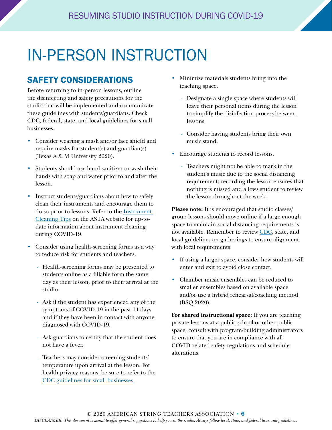## <span id="page-5-0"></span>IN-PERSON INSTRUCTION

## SAFETY CONSIDERATIONS

Before returning to in-person lessons, outline the disinfecting and safety precautions for the studio that will be implemented and communicate these guidelines with students/guardians. Check CDC, federal, state, and local guidelines for small businesses.

- Consider wearing a mask and/or face shield and require masks for student(s) and guardian(s) (Texas A & M University 2020).
- Students should use hand sanitizer or wash their hands with soap and water prior to and after the lesson.
- Instruct students/guardians about how to safely clean their instruments and encourage them to do so prior to lessons. Refer to the [Instrument](https://www.astastrings.org/Web/Resources/Instrument_Cleaning_Tips.aspx)  [Cleaning Tips](https://www.astastrings.org/Web/Resources/Instrument_Cleaning_Tips.aspx) on the ASTA website for up-todate information about instrument cleaning during COVID-19.
- Consider using health-screening forms as a way to reduce risk for students and teachers.
	- Health-screening forms may be presented to students online as a fillable form the same day as their lesson, prior to their arrival at the studio.
	- Ask if the student has experienced any of the symptoms of COVID-19 in the past 14 days and if they have been in contact with anyone diagnosed with COVID-19.
	- Ask guardians to certify that the student does not have a fever.
	- Teachers may consider screening students' temperature upon arrival at the lesson. For health privacy reasons, be sure to refer to the [CDC guidelines for small businesses.](https://www.cdc.gov/coronavirus/2019-ncov/community/guidance-small-business.html)
- Minimize materials students bring into the teaching space.
	- Designate a single space where students will leave their personal items during the lesson to simplify the disinfection process between lessons.
	- Consider having students bring their own music stand.
- Encourage students to record lessons.
	- Teachers might not be able to mark in the student's music due to the social distancing requirement; recording the lesson ensures that nothing is missed and allows student to review the lesson throughout the week.

**Please note:** It is encouraged that studio classes/ group lessons should move online if a large enough space to maintain social distancing requirements is not available. Remember to review [CDC,](https://www.cdc.gov/coronavirus/2019-ncov/community/large-events/considerations-for-events-gatherings.html) state, and local guidelines on gatherings to ensure alignment with local requirements.

- If using a larger space, consider how students will enter and exit to avoid close contact.
- Chamber music ensembles can be reduced to smaller ensembles based on available space and/or use a hybrid rehearsal/coaching method (BSQ 2020).

**For shared instructional space:** If you are teaching private lessons at a public school or other public space, consult with program/building administrators to ensure that you are in compliance with all COVID-related safety regulations and schedule alterations.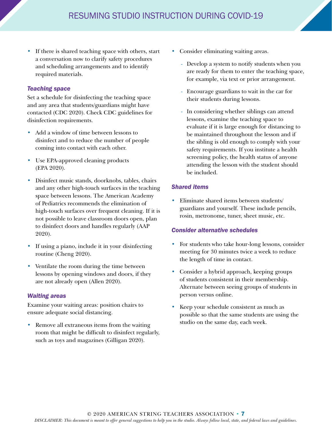• If there is shared teaching space with others, start a conversation now to clarify safety procedures and scheduling arrangements and to identify required materials.

#### *Teaching space*

Set a schedule for disinfecting the teaching space and any area that students/guardians might have contacted (CDC 2020). Check CDC guidelines for disinfection requirements.

- Add a window of time between lessons to disinfect and to reduce the number of people coming into contact with each other.
- Use EPA-approved cleaning products (EPA 2020).
- Disinfect music stands, doorknobs, tables, chairs and any other high-touch surfaces in the teaching space between lessons. The American Academy of Pediatrics recommends the elimination of high-touch surfaces over frequent cleaning. If it is not possible to leave classroom doors open, plan to disinfect doors and handles regularly (AAP 2020).
- If using a piano, include it in your disinfecting routine (Cheng 2020).
- Ventilate the room during the time between lessons by opening windows and doors, if they are not already open (Allen 2020).

#### *Waiting areas*

Examine your waiting areas: position chairs to ensure adequate social distancing.

Remove all extraneous items from the waiting room that might be difficult to disinfect regularly, such as toys and magazines (Gilligan 2020).

- Consider eliminating waiting areas.
	- Develop a system to notify students when you are ready for them to enter the teaching space, for example, via text or prior arrangement.
	- Encourage guardians to wait in the car for their students during lessons.
	- In considering whether siblings can attend lessons, examine the teaching space to evaluate if it is large enough for distancing to be maintained throughout the lesson and if the sibling is old enough to comply with your safety requirements. If you institute a health screening policy, the health status of anyone attending the lesson with the student should be included.

#### *Shared items*

• Eliminate shared items between students/ guardians and yourself. These include pencils, rosin, metronome, tuner, sheet music, etc.

#### *Consider alternative schedules*

- For students who take hour-long lessons, consider meeting for 30 minutes twice a week to reduce the length of time in contact.
- Consider a hybrid approach, keeping groups of students consistent in their membership. Alternate between seeing groups of students in person versus online.
- Keep your schedule consistent as much as possible so that the same students are using the studio on the same day, each week.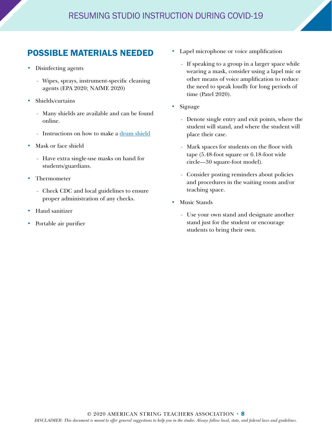## <span id="page-7-0"></span>POSSIBLE MATERIALS NEEDED

- Disinfecting agents
	- Wipes, sprays, instrument-specific cleaning agents (EPA 2020; NAfME 2020)
- Shields/curtains
	- Many shields are available and can be found online.
	- Instructions on how to make a [drum shield](https://ourpastimes.com/how-to-make-a-drum-shield-12160835.html)
- Mask or face shield
	- Have extra single-use masks on hand for students/guardians.
- Thermometer
	- Check CDC and local guidelines to ensure proper administration of any checks.
- Hand sanitizer
- Portable air purifier
- Lapel microphone or voice amplification
	- If speaking to a group in a larger space while wearing a mask, consider using a lapel mic or other means of voice amplification to reduce the need to speak loudly for long periods of time (Patel 2020).
- Signage
	- Denote single entry and exit points, where the student will stand, and where the student will place their case.
	- Mark spaces for students on the floor with tape (5.48-foot square or 6.18-foot wide circle—30 square-foot model).
	- Consider posting reminders about policies and procedures in the waiting room and/or teaching space.
- Music Stands
	- Use your own stand and designate another stand just for the student or encourage students to bring their own.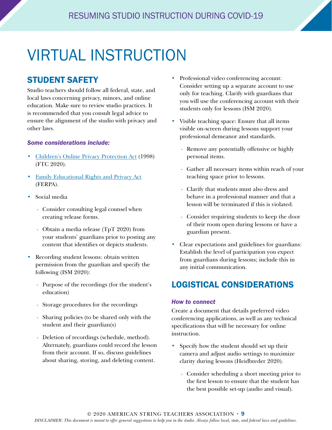## <span id="page-8-0"></span>VIRTUAL INSTRUCTION

## STUDENT SAFETY

Studio teachers should follow all federal, state, and local laws concerning privacy, minors, and online education. Make sure to review studio practices. It is recommended that you consult legal advice to ensure the alignment of the studio with privacy and other laws.

#### *Some considerations include:*

- [Children's Online Privacy Protection Act](https://www.ftc.gov/enforcement/rules/rulemaking-regulatory-reform-proceedings/childrens-online-privacy-protection-rule) (1998) (FTC 2020).
- [Family Educational Rights and Privacy Act](https://www2.ed.gov/policy/gen/guid/fpco/brochures/parents.html) (FERPA).
- Social media
	- Consider consulting legal counsel when creating release forms.
	- Obtain a media release (TpT 2020) from your students' guardians prior to posting any content that identifies or depicts students.
- Recording student lessons: obtain written permission from the guardian and specify the following (ISM 2020):
	- Purpose of the recordings (for the student's education)
	- Storage procedures for the recordings
	- Sharing policies (to be shared only with the student and their guardian(s)
	- Deletion of recordings (schedule, method). Alternately, guardians could record the lesson from their account. If so, discuss guidelines about sharing, storing, and deleting content.
- Professional video conferencing account: Consider setting up a separate account to use only for teaching. Clarify with guardians that you will use the conferencing account with their students only for lessons (ISM 2020).
- Visible teaching space: Ensure that all items visible on-screen during lessons support your professional demeanor and standards.
	- Remove any potentially offensive or highly personal items.
	- Gather all necessary items within reach of your teaching space prior to lessons.
	- Clarify that students must also dress and behave in a professional manner and that a lesson will be terminated if this is violated.
	- Consider requiring students to keep the door of their room open during lessons or have a guardian present.
- Clear expectations and guidelines for guardians: Establish the level of participation you expect from guardians during lessons; include this in any initial communication.

## LOGISTICAL CONSIDERATIONS

#### *How to connect*

Create a document that details preferred video conferencing applications, as well as any technical specifications that will be necessary for online instruction.

- Specify how the student should set up their camera and adjust audio settings to maximize clarity during lessons (Heidbreder 2020).
	- Consider scheduling a short meeting prior to the first lesson to ensure that the student has the best possible set-up (audio and visual).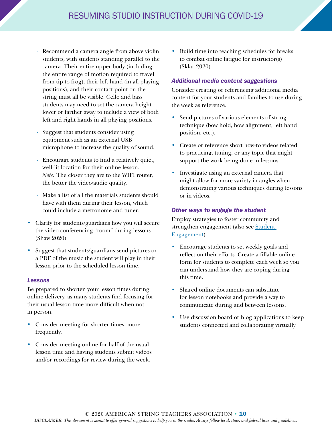- Recommend a camera angle from above violin students, with students standing parallel to the camera. Their entire upper body (including the entire range of motion required to travel from tip to frog), their left hand (in all playing positions), and their contact point on the string must all be visible. Cello and bass students may need to set the camera height lower or farther away to include a view of both left and right hands in all playing positions.
- Suggest that students consider using equipment such as an external USB microphone to increase the quality of sound.
- Encourage students to find a relatively quiet, well-lit location for their online lesson. *Note:* The closer they are to the WIFI router, the better the video/audio quality.
- Make a list of all the materials students should have with them during their lesson, which could include a metronome and tuner.
- Clarify for students/guardians how you will secure the video conferencing "room" during lessons (Shaw 2020).
- Suggest that students/guardians send pictures or a PDF of the music the student will play in their lesson prior to the scheduled lesson time.

#### *Lessons*

Be prepared to shorten your lesson times during online delivery, as many students find focusing for their usual lesson time more difficult when not in person.

- Consider meeting for shorter times, more frequently.
- Consider meeting online for half of the usual lesson time and having students submit videos and/or recordings for review during the week.

• Build time into teaching schedules for breaks to combat online fatigue for instructor(s) (Sklar 2020).

#### *Additional media content suggestions*

Consider creating or referencing additional media content for your students and families to use during the week as reference.

- Send pictures of various elements of string technique (bow hold, bow alignment, left hand position, etc.).
- Create or reference short how-to videos related to practicing, tuning, or any topic that might support the work being done in lessons.
- Investigate using an external camera that might allow for more variety in angles when demonstrating various techniques during lessons or in videos.

#### *Other ways to engage the student*

Employ strategies to foster community and [strengthen engagement \(also see Student](#page-14-0)  Engagement).

- Encourage students to set weekly goals and reflect on their efforts. Create a fillable online form for students to complete each week so you can understand how they are coping during this time.
- Shared online documents can substitute for lesson notebooks and provide a way to communicate during and between lessons.
- Use discussion board or blog applications to keep students connected and collaborating virtually.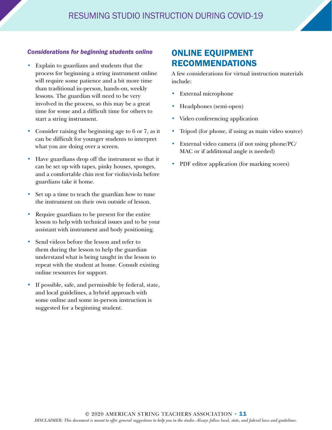### <span id="page-10-0"></span>*Considerations for beginning students online*

- Explain to guardians and students that the process for beginning a string instrument online will require some patience and a bit more time than traditional in-person, hands-on, weekly lessons. The guardian will need to be very involved in the process, so this may be a great time for some and a difficult time for others to start a string instrument.
- Consider raising the beginning age to 6 or 7, as it can be difficult for younger students to interpret what you are doing over a screen.
- Have guardians drop off the instrument so that it can be set up with tapes, pinky houses, sponges, and a comfortable chin rest for violin/viola before guardians take it home.
- Set up a time to teach the guardian how to tune the instrument on their own outside of lesson.
- Require guardians to be present for the entire lesson to help with technical issues and to be your assistant with instrument and body positioning.
- Send videos before the lesson and refer to them during the lesson to help the guardian understand what is being taught in the lesson to repeat with the student at home. Consult existing online resources for support.
- If possible, safe, and permissible by federal, state, and local guidelines, a hybrid approach with some online and some in-person instruction is suggested for a beginning student.

## ONLINE EQUIPMENT RECOMMENDATIONS

A few considerations for virtual instruction materials include:

- External microphone
- Headphones (semi-open)
- Video conferencing application
- Tripod (for phone, if using as main video source)
- External video camera (if not using phone/PC/ MAC or if additional angle is needed)
- PDF editor application (for marking scores)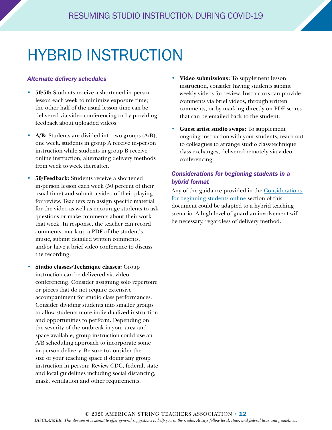## <span id="page-11-0"></span>HYBRID INSTRUCTION

#### *Alternate delivery schedules*

- **50/50:** Students receive a shortened in-person lesson each week to minimize exposure time; the other half of the usual lesson time can be delivered via video conferencing or by providing feedback about uploaded videos.
- **A/B:** Students are divided into two groups (A/B); one week, students in group A receive in-person instruction while students in group B receive online instruction, alternating delivery methods from week to week thereafter.
- **50/Feedback:** Students receive a shortened in-person lesson each week (50 percent of their usual time) and submit a video of their playing for review. Teachers can assign specific material for the video as well as encourage students to ask questions or make comments about their work that week. In response, the teacher can record comments, mark up a PDF of the student's music, submit detailed written comments, and/or have a brief video conference to discuss the recording.
- **Studio classes/Technique classes:** Group instruction can be delivered via video conferencing. Consider assigning solo repertoire or pieces that do not require extensive accompaniment for studio class performances. Consider dividing students into smaller groups to allow students more individualized instruction and opportunities to perform. Depending on the severity of the outbreak in your area and space available, group instruction could use an A/B scheduling approach to incorporate some in-person delivery. Be sure to consider the size of your teaching space if doing any group instruction in person: Review CDC, federal, state and local guidelines including social distancing, mask, ventilation and other requirements.
- **Video submissions:** To supplement lesson instruction, consider having students submit weekly videos for review. Instructors can provide comments via brief videos, through written comments, or by marking directly on PDF scores that can be emailed back to the student.
- **Guest artist studio swaps:** To supplement ongoing instruction with your students, reach out to colleagues to arrange studio class/technique class exchanges, delivered remotely via video conferencing.

### *Considerations for beginning students in a hybrid format*

Any of the guidance provided in the Considerations for beginning students online section of this document could be adapted to a hybrid teaching scenario. A high level of guardian involvement will be necessary, regardless of delivery method.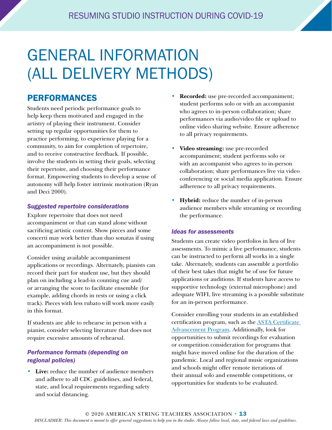## <span id="page-12-0"></span>GENERAL INFORMATION (ALL DELIVERY METHODS)

## PERFORMANCES

Students need periodic performance goals to help keep them motivated and engaged in the artistry of playing their instrument. Consider setting up regular opportunities for them to practice performing, to experience playing for a community, to aim for completion of repertoire, and to receive constructive feedback. If possible, involve the students in setting their goals, selecting their repertoire, and choosing their performance format. Empowering students to develop a sense of autonomy will help foster intrinsic motivation (Ryan and Deci 2000).

#### *Suggested repertoire considerations*

Explore repertoire that does not need accompaniment or that can stand alone without sacrificing artistic content. Show pieces and some concerti may work better than duo sonatas if using an accompaniment is not possible.

Consider using available accompaniment applications or recordings. Alternately, pianists can record their part for student use, but they should plan on including a lead-in counting cue and/ or arranging the score to facilitate ensemble (for example, adding chords in rests or using a click track). Pieces with less rubato will work more easily in this format.

If students are able to rehearse in person with a pianist, consider selecting literature that does not require excessive amounts of rehearsal.

### *Performance formats (depending on regional policies)*

• **Live:** reduce the number of audience members and adhere to all CDC guidelines, and federal, state, and local requirements regarding safety and social distancing.

- **Recorded:** use pre-recorded accompaniment; student performs solo or with an accompanist who agrees to in-person collaboration; share performances via audio/video file or upload to online video sharing website. Ensure adherence to all privacy requirements.
- **Video streaming:** use pre-recorded accompaniment; student performs solo or with an accompanist who agrees to in-person collaboration; share performances live via video conferencing or social media application. Ensure adherence to all privacy requirements.
- **Hybrid:** reduce the number of in-person audience members while streaming or recording the performance.

### *Ideas for assessments*

Students can create video portfolios in lieu of live assessments. To mimic a live performance, students can be instructed to perform all works in a single take. Alternately, students can assemble a portfolio of their best takes that might be of use for future applications or auditions. If students have access to supportive technology (external microphone) and adequate WIFI, live streaming is a possible substitute for an in-person performance.

Consider enrolling your students in an established certification program, such as the [ASTA Certificate](https://www.astastrings.org/Web/Resources/ASTACAP/ASTA_CAP.aspx)  [Advancement Program](https://www.astastrings.org/Web/Resources/ASTACAP/ASTA_CAP.aspx). Additionally, look for opportunities to submit recordings for evaluation or competition consideration for programs that might have moved online for the duration of the pandemic. Local and regional music organizations and schools might offer remote iterations of their annual solo and ensemble competitions, or opportunities for students to be evaluated.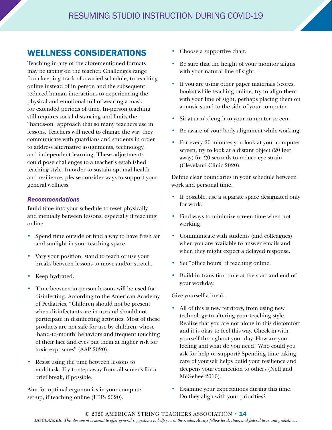## <span id="page-13-0"></span>WELLNESS CONSIDERATIONS

Teaching in any of the aforementioned formats may be taxing on the teacher. Challenges range from keeping track of a varied schedule, to teaching online instead of in person and the subsequent reduced human interaction, to experiencing the physical and emotional toll of wearing a mask for extended periods of time. In-person teaching still requires social distancing and limits the "hands-on" approach that so many teachers use in lessons. Teachers will need to change the way they communicate with guardians and students in order to address alternative assignments, technology, and independent learning. These adjustments could pose challenges to a teacher's established teaching style. In order to sustain optimal health and resilience, please consider ways to support your general wellness.

#### *Recommendations*

Build time into your schedule to reset physically and mentally between lessons, especially if teaching online.

- Spend time outside or find a way to have fresh air and sunlight in your teaching space.
- Vary your position: stand to teach or use your breaks between lessons to move and/or stretch.
- Keep hydrated.
- Time between in-person lessons will be used for disinfecting. According to the American Academy of Pediatrics, "Children should not be present when disinfectants are in use and should not participate in disinfecting activities. Most of these products are not safe for use by children, whose 'hand-to-mouth' behaviors and frequent touching of their face and eyes put them at higher risk for toxic exposures" (AAP 2020).
- Resist using the time between lessons to multitask. Try to step away from all screens for a brief break, if possible.

Aim for optimal ergonomics in your computer set-up, if teaching online (UHS 2020).

- Choose a supportive chair.
- Be sure that the height of your monitor aligns with your natural line of sight.
- If you are using other paper materials (scores, books) while teaching online, try to align them with your line of sight, perhaps placing them on a music stand to the side of your computer.
- Sit at arm's length to your computer screen.
- Be aware of your body alignment while working.
- For every 20 minutes you look at your computer screen, try to look at a distant object (20 feet away) for 20 seconds to reduce eye strain (Cleveland Clinic 2020).

Define clear boundaries in your schedule between work and personal time.

- If possible, use a separate space designated only for work.
- Find ways to minimize screen time when not working.
- Communicate with students (and colleagues) when you are available to answer emails and when they might expect a delayed response.
- Set "office hours" if teaching online.
- Build in transition time at the start and end of your workday.

#### Give yourself a break.

- All of this is new territory, from using new technology to altering your teaching style. Realize that you are not alone in this discomfort and it is okay to feel this way. Check in with yourself throughout your day. How are you feeling and what do you need? Who could you ask for help or support? Spending time taking care of yourself helps build your resilience and deepens your connection to others (Neff and McGehee 2010).
- Examine your expectations during this time. Do they align with your priorities?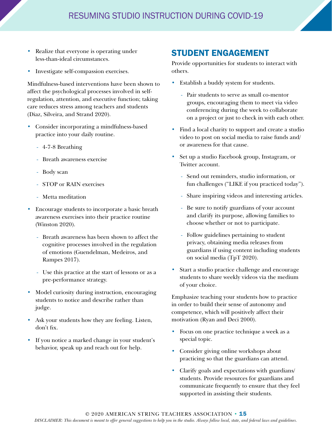- <span id="page-14-0"></span>Realize that everyone is operating under less-than-ideal circumstances.
- Investigate self-compassion exercises.

Mindfulness-based interventions have been shown to affect the psychological processes involved in selfregulation, attention, and executive function; taking care reduces stress among teachers and students (Diaz, Silveira, and Strand 2020).

- Consider incorporating a mindfulness-based practice into your daily routine.
	- 4-7-8 Breathing
	- Breath awareness exercise
	- Body scan
	- STOP or RAIN exercises
	- Metta meditation
- Encourage students to incorporate a basic breath awareness exercises into their practice routine (Winston 2020).
	- Breath awareness has been shown to affect the cognitive processes involved in the regulation of emotions (Guendelman, Medeiros, and Rampes 2017).
	- Use this practice at the start of lessons or as a pre-performance strategy.
- Model curiosity during instruction, encouraging students to notice and describe rather than judge.
- Ask your students how they are feeling. Listen, don't fix.
- If you notice a marked change in your student's behavior, speak up and reach out for help.

## STUDENT ENGAGEMENT

Provide opportunities for students to interact with others.

- Establish a buddy system for students.
	- Pair students to serve as small co-mentor groups, encouraging them to meet via video conferencing during the week to collaborate on a project or just to check in with each other.
- Find a local charity to support and create a studio video to post on social media to raise funds and/ or awareness for that cause.
- Set up a studio Facebook group, Instagram, or Twitter account.
	- Send out reminders, studio information, or fun challenges ("LIKE if you practiced today").
	- Share inspiring videos and interesting articles.
	- Be sure to notify guardians of your account and clarify its purpose, allowing families to choose whether or not to participate.
	- Follow guidelines pertaining to student privacy, obtaining media releases from guardians if using content including students on social media (TpT 2020).
- Start a studio practice challenge and encourage students to share weekly videos via the medium of your choice.

Emphasize teaching your students how to practice in order to build their sense of autonomy and competence, which will positively affect their motivation (Ryan and Deci 2000).

- Focus on one practice technique a week as a special topic.
- Consider giving online workshops about practicing so that the guardians can attend.
- Clarify goals and expectations with guardians/ students. Provide resources for guardians and communicate frequently to ensure that they feel supported in assisting their students.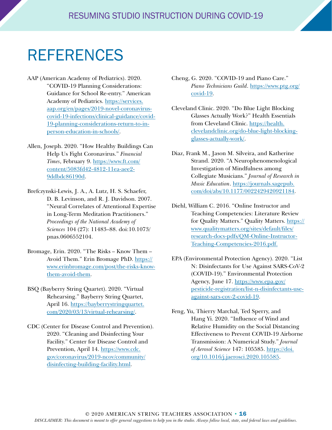## <span id="page-15-0"></span>REFERENCES

- AAP (American Academy of Pediatrics). 2020. "COVID-19 Planning Considerations: Guidance for School Re-entry." American Academy of Pediatrics. [https://services.](https://services.aap.org/en/pages/2019-novel-coronavirus-covid-19-infections/clinical-guidance/covid-19-planning-considerations-return-to-in-person-education-in-schools/) [aap.org/en/pages/2019-novel-coronavirus](https://services.aap.org/en/pages/2019-novel-coronavirus-covid-19-infections/clinical-guidance/covid-19-planning-considerations-return-to-in-person-education-in-schools/)[covid-19-infections/clinical-guidance/covid-](https://services.aap.org/en/pages/2019-novel-coronavirus-covid-19-infections/clinical-guidance/covid-19-planning-considerations-return-to-in-person-education-in-schools/)[19-planning-considerations-return-to-in](https://services.aap.org/en/pages/2019-novel-coronavirus-covid-19-infections/clinical-guidance/covid-19-planning-considerations-return-to-in-person-education-in-schools/)[person-education-in-schools/](https://services.aap.org/en/pages/2019-novel-coronavirus-covid-19-infections/clinical-guidance/covid-19-planning-considerations-return-to-in-person-education-in-schools/).
- Allen, Joseph. 2020. "How Healthy Buildings Can Help Us Fight Coronavirus." *Financial Times*, February 9. [https://www.ft.com/](https://www.ft.com/content/5083fd42-4812-11ea-aee2-9ddbdc86190d) [content/5083fd42-4812-11ea-aee2-](https://www.ft.com/content/5083fd42-4812-11ea-aee2-9ddbdc86190d) [9ddbdc86190d](https://www.ft.com/content/5083fd42-4812-11ea-aee2-9ddbdc86190d).
- Brefczynski-Lewis, J. A., A. Lutz, H. S. Schaefer, D. B. Levinson, and R. J. Davidson. 2007. "Neural Correlates of Attentional Expertise in Long-Term Meditation Practitioners." *Proceedings of the National Academy of Sciences* 104 (27): 11483–88. doi:10.1073/ pnas.0606552104.
- Bromage, Erin. 2020. "The Risks Know Them Avoid Them." Erin Bromage PhD. [https://](https://www.erinbromage.com/post/the-risks-know-them-avoid-them) [www.erinbromage.com/post/the-risks-know](https://www.erinbromage.com/post/the-risks-know-them-avoid-them)[them-avoid-them.](https://www.erinbromage.com/post/the-risks-know-them-avoid-them)
- BSQ (Bayberry String Quartet). 2020. "Virtual Rehearsing." Bayberry String Quartet, April 16. [https://bayberrystringquartet.](https://bayberrystringquartet.com/2020/03/13/virtual-rehearsing/) [com/2020/03/13/virtual-rehearsing/.](https://bayberrystringquartet.com/2020/03/13/virtual-rehearsing/)
- CDC (Center for Disease Control and Prevention). 2020. "Cleaning and Disinfecting Your Facility." Center for Disease Control and Prevention, April 14. [https://www.cdc.](https://www.cdc.gov/coronavirus/2019-ncov/community/disinfecting-building-facility.html) [gov/coronavirus/2019-ncov/community/](https://www.cdc.gov/coronavirus/2019-ncov/community/disinfecting-building-facility.html) [disinfecting-building-facility.html.](https://www.cdc.gov/coronavirus/2019-ncov/community/disinfecting-building-facility.html)
- Cheng, G. 2020. "COVID-19 and Piano Care." *Piano Technicians Guild*. [https://www.ptg.org/](https://www.ptg.org/covid-19) [covid-19](https://www.ptg.org/covid-19).
- Cleveland Clinic. 2020. "Do Blue Light Blocking Glasses Actually Work?" Health Essentials from Cleveland Clinic. [https://health.](https://health.clevelandclinic.org/do-blue-light-blocking-glasses-actually-work/) [clevelandclinic.org/do-blue-light-blocking](https://health.clevelandclinic.org/do-blue-light-blocking-glasses-actually-work/)[glasses-actually-work/.](https://health.clevelandclinic.org/do-blue-light-blocking-glasses-actually-work/)
- Diaz, Frank M., Jason M. Silveira, and Katherine Strand. 2020. "A Neurophenomenological Investigation of Mindfulness among Collegiate Musicians." *Journal of Research in Music Education*. [https://journals.sagepub.](https://journals.sagepub.com/doi/abs/10.1177/0022429420921184) [com/doi/abs/10.1177/0022429420921184](https://journals.sagepub.com/doi/abs/10.1177/0022429420921184).
- Diehl, William C. 2016. "Online Instructor and Teaching Competencies: Literature Review for Quality Matters." Quality Matters. [https://](https://www.qualitymatters.org/sites/default/files/research-docs-pdfs/QM-Online-Instructor-Teaching-Competencies-2016.pdf) [www.qualitymatters.org/sites/default/files/](https://www.qualitymatters.org/sites/default/files/research-docs-pdfs/QM-Online-Instructor-Teaching-Competencies-2016.pdf) [research-docs-pdfs/QM-Online-Instructor-](https://www.qualitymatters.org/sites/default/files/research-docs-pdfs/QM-Online-Instructor-Teaching-Competencies-2016.pdf)[Teaching-Competencies-2016.pdf.](https://www.qualitymatters.org/sites/default/files/research-docs-pdfs/QM-Online-Instructor-Teaching-Competencies-2016.pdf)
- EPA (Environmental Protection Agency). 2020. "List N: Disinfectants for Use Against SARS-CoV-2 (COVID-19)." Environmental Protection Agency, June 17. [https://www.epa.gov/](https://www.epa.gov/pesticide-registration/list-n-disinfectants-use-against-sars-cov-2-covid-19) [pesticide-registration/list-n-disinfectants-use](https://www.epa.gov/pesticide-registration/list-n-disinfectants-use-against-sars-cov-2-covid-19)[against-sars-cov-2-covid-19](https://www.epa.gov/pesticide-registration/list-n-disinfectants-use-against-sars-cov-2-covid-19).
- Feng, Yu, Thierry Marchal, Ted Sperry, and Hang Yi. 2020. "Influence of Wind and Relative Humidity on the Social Distancing Effectiveness to Prevent COVID-19 Airborne Transmission: A Numerical Study." *Journal of Aerosol Science* 147: 105585. [https://doi.](https://doi.org/10.1016/j.jaerosci.2020.105585) [org/10.1016/j.jaerosci.2020.105585.](https://doi.org/10.1016/j.jaerosci.2020.105585)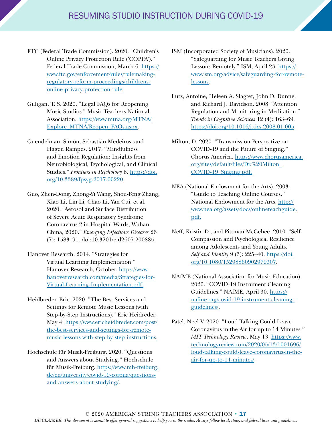- FTC (Federal Trade Commission). 2020. "Children's Online Privacy Protection Rule ('COPPA')." Federal Trade Commission, March 6. [https://](https://www.ftc.gov/enforcement/rules/rulemaking-regulatory-reform-proceedings/childrens-online-privacy-protection-rule) [www.ftc.gov/enforcement/rules/rulemaking](https://www.ftc.gov/enforcement/rules/rulemaking-regulatory-reform-proceedings/childrens-online-privacy-protection-rule)[regulatory-reform-proceedings/childrens](https://www.ftc.gov/enforcement/rules/rulemaking-regulatory-reform-proceedings/childrens-online-privacy-protection-rule)[online-privacy-protection-rule.](https://www.ftc.gov/enforcement/rules/rulemaking-regulatory-reform-proceedings/childrens-online-privacy-protection-rule)
- Gilligan, T. S. 2020. "Legal FAQs for Reopening Music Studios." Music Teachers National Association. [https://www.mtna.org/MTNA/](https://www.mtna.org/MTNA/Explore_MTNA/Reopen_FAQs.aspx) [Explore\\_MTNA/Reopen\\_FAQs.aspx.](https://www.mtna.org/MTNA/Explore_MTNA/Reopen_FAQs.aspx)
- Guendelman, Simón, Sebastián Medeiros, and Hagen Rampes. 2017. "Mindfulness and Emotion Regulation: Insights from Neurobiological, Psychological, and Clinical Studies." *Frontiers in Psychology* 8. [https://doi.](https://doi.org/10.3389/fpsyg.2017.00220) [org/10.3389/fpsyg.2017.00220](https://doi.org/10.3389/fpsyg.2017.00220).
- Guo, Zhen-Dong, Zhong-Yi Wang, Shou-Feng Zhang, Xiao Li, Lin Li, Chao Li, Yan Cui, et al. 2020. "Aerosol and Surface Distribution of Severe Acute Respiratory Syndrome Coronavirus 2 in Hospital Wards, Wuhan, China, 2020." *Emerging Infectious Diseases* 26 (7): 1583–91. doi:10.3201/eid2607.200885.
- Hanover Research. 2014. "Strategies for Virtual Learning Implementation." Hanover Research, October. [https://www.](https://www.hanoverresearch.com/media/Strategies-for-Virtual-Learning-Implementation.pdf) [hanoverresearch.com/media/Strategies-for-](https://www.hanoverresearch.com/media/Strategies-for-Virtual-Learning-Implementation.pdf)[Virtual-Learning-Implementation.pdf.](https://www.hanoverresearch.com/media/Strategies-for-Virtual-Learning-Implementation.pdf)
- Heidbreder, Eric. 2020. "The Best Services and Settings for Remote Music Lessons (with Step-by-Step Instructions)." Eric Heidreder*,* May 4. [https://www.ericheidbreder.com/post/](https://www.ericheidbreder.com/post/the-best-services-and-settings-for-remote-music-lessons-with-step-by-step-instructions) [the-best-services-and-settings-for-remote](https://www.ericheidbreder.com/post/the-best-services-and-settings-for-remote-music-lessons-with-step-by-step-instructions)[music-lessons-with-step-by-step-instructions.](https://www.ericheidbreder.com/post/the-best-services-and-settings-for-remote-music-lessons-with-step-by-step-instructions)
- Hochschule für Musik-Freiburg. 2020. "Questions and Answers about Studying." Hochschule für Musik-Freiburg. [https://www.mh-freiburg.](https://www.mh-freiburg.de/en/university/covid-19-corona/questions-and-answers-about-studying/) [de/en/university/covid-19-corona/questions](https://www.mh-freiburg.de/en/university/covid-19-corona/questions-and-answers-about-studying/)[and-answers-about-studying/.](https://www.mh-freiburg.de/en/university/covid-19-corona/questions-and-answers-about-studying/)
- ISM (Incorporated Society of Musicians). 2020. "Safeguarding for Music Teachers Giving Lessons Remotely." ISM, April 23. [https://](https://www.ism.org/advice/safeguarding-for-remote-lessons) [www.ism.org/advice/safeguarding-for-remote](https://www.ism.org/advice/safeguarding-for-remote-lessons)[lessons.](https://www.ism.org/advice/safeguarding-for-remote-lessons)
- Lutz, Antoine, Heleen A. Slagter, John D. Dunne, and Richard J. Davidson. 2008. "Attention Regulation and Monitoring in Meditation." *Trends in Cognitive Sciences* 12 (4): 163–69. [https://doi.org/10.1016/j.tics.2008.01.005.](Allen, Joseph. 2020. “How Healthy Buildings Can Help Us Fight Coronavirus.” Financial Times, February 9. https://www.ft.com/content/5083fd42-4812-11ea-aee2-9ddbdc86190d.
Brefczynski-Lewis, J. A., A. Lutz, H. S. Schaefer, D. B. Levinson, and R. J. Davidson. 2007. “Neural Correlates of Attentional Expertise in Long-Term Meditation Practitioners.” Proceedings of the National Academy of Sciences 104 (27): 11483–88. doi:10.1073/pnas.0606552104.
Bromage, Erin. 2020. “The Risks – Know Them – Avoid Them.” Erin Bromage PhD. https://www.erinbromage.com/post/the-risks-know-them-avoid-them.
BSQ (Bayberry String Quartet). 2020. “Virtual Rehearsing.” Bayberry String Quartet, April 16. https://bayberrystringquartet.com/2020/03/13/virtual-rehearsing/.
CDC (Center for Disease Control and Prevention). 2020. “Cleaning and Disinfecting Your Facility.” Center for Disease Control and Prevention, April 14. https://www.cdc.gov/coronavirus/2019-ncov/community/disinfecting-building-facility.html.
Cheng, G. 2020. “COVID-19 and Piano Care.” Piano Technicians Guild. https://www.ptg.org/covid-19.
Cleveland Clinic. 2020. “Do Blue Light Blocking Glasses Actually Work?” Health Essentials from Cleveland Clinic. https://health.clevelandclinic.org/do-blue-light-blocking-glasses-actually-work/.
Diaz, Frank M., Jason M. Silveira, and Katherine Strand. 2020. “A Neurophenomenological Investigation of Mindfulness among Collegiate Musicians.” Journal of Research in Music Education. https://journals.sagepub.com/doi/abs/10.1177/0022429420921184.
Diehl, William C. 2016. “Online Instructor and Teaching Competencies: Literature Review for Quality Matters.” Quality Matters. https://www.qualitymatters.org/sites/default/files/research-docs-pdfs/QM-Online-Instructor-Teaching-Competencies-2016.pdf.
EPA (Environmental Protection Agency). 2020. “List N: Disinfectants for Use Against SARS-CoV-2 (COVID-19).” Environmental Protection Agency, June 17. https://www.epa.gov/pesticide-registration/list-n-disinfectants-use-against-sars-cov-2-covid-19.
Feng, Yu, Thierry Marchal, Ted Sperry, and Hang Yi. 2020. “Influence of Wind and Relative Humidity on the Social Distancing Effectiveness to Prevent COVID-19 Airborne Transmission: A Numerical Study.” Journal of Aerosol Science 147: 105585. https://doi.org/10.1016/j.jaerosci.2020.105585.
FTC (Federal Trade Commission). 2020. “Children’s Online Privacy Protection Rule (‘COPPA’).” Federal Trade Commission, March 6. https://www.ftc.gov/enforcement/rules/rulemaking-regulatory-reform-proceedings/childrens-online-privacy-protection-rule.
Gilligan, T. S. 2020. “Legal FAQs for Reopening Music Studios.” Music Teachers National Association. https://www.mtna.org/MTNA/Explore_MTNA/Reopen_FAQs.aspx.
Guendelman, Simón, Sebastián Medeiros, and Hagen Rampes. 2017. “Mindfulness and Emotion Regulation: Insights from Neurobiological, Psychological, and Clinical Studies.” Frontiers in Psychology 8. https://doi.org/10.3389/fpsyg.2017.00220.
Guo, Zhen-Dong, Zhong-Yi Wang, Shou-Feng Zhang, Xiao Li, Lin Li, Chao Li, Yan Cui, et al. 2020. “Aerosol and Surface Distribution of Severe Acute Respiratory Syndrome Coronavirus 2 in Hospital Wards, Wuhan, China, 2020.” Emerging Infectious Diseases 26 (7): 1583–91. doi:10.3201/eid2607.200885.
Hanover Research. 2014. “Strategies for Virtual Learning Implementation.” Hanover Research, October. https://www.hanoverresearch.com/media/Strategies-for-Virtual-Learning-Implementation.pdf.
Heidbreder, Eric. 2020. “The Best Services and Settings for Remote Music Lessons (with Step-by-Step Instructions).” Eric Heidreder, May 4. https://www.ericheidbreder.com/post/the-best-services-and-settings-for-remote-music-lessons-with-step-by-step-instructions.
Hochschule für Musik-Freiburg. 2020. “Questions and Answers about Studying.“ Hochschule für Musik-Freiburg. https://www.mh-freiburg.de/en/university/covid-19-corona/questions-and-answers-about-studying/.
ISM (Incorporated Society of Musicians). 2020. “Safeguarding for Music Teachers Giving Lessons Remotely.” ISM, April 23. https://www.ism.org/advice/safeguarding-for-remote-lessons.
Lutz, Antoine, Heleen A. Slagter, John D. Dunne, and Richard J. Davidson. 2008. “Attention Regulation and Monitoring in Meditation.” Trends in Cognitive Sciences 12 (4): 163–69. https://doi.org/10.1016/j.tics.2008.01.005.
Milton, D. 2020. “Transmission Perspective on COVID-19 and the Future of Singing.” Chorus America. https://www.chorusamerica.org/sites/default/files/Dr.%20Milton_COVID-19_Singing.pdf.
NEA (National Endowment for the Arts). 2003. “Guide to Teaching Online Courses.” National Endowment for the Arts. http://www.nea.org/assets/docs/onlineteachguide.pdf.
Neff, Kristin D., and Pittman McGehee. 2010. “Self-Compassion and Psychological Resilience among Adolescents and Young Adults.” Self and Identity 9 (3): 225–40. https://doi.org/10.1080/15298860902979307.
NAfME (National Association for Music Education). 2020. “COVID-19 Instrument Cleaning Guidelines.” NAfME, April 30. https://nafme.org/covid-19-instrument-cleaning-guidelines/.
Patel, Neel V. 2020. “Loud Talking Could Leave Coronavirus in the Air for up to 14 Minutes.” MIT Technology Review, May 13. https://www.technologyreview.com/2020/05/13/1001696/loud-talking-could-leave-coronavirus-in-the-air-for-up-to-14-minutes/.
Ryan, Richard M., and Edward L. Deci. 2000. “Self-Determination Theory and the Facilitation of Intrinsic Motivation, Social Development, and Well-Being.” American Psychologist 55 (1): 68–78. https://doi.org/10.1037/0003-066x.55.1.68.
Schöne, Benjamin, Thomas Gruber, Sebastian Graetz, Martin Bernhof, and Peter Malinowski. 2018. “Mindful Breath Awareness Meditation Facilitates Efficiency Gains in Brain Networks: A Steady-State Visually Evoked Potentials Study.” Scientific Reports 8 (1). https://doi.org/10.1038/s41598-018-32046-5.
Shapiro, Shauna L., Linda E. Carlson, John A. Astin, and Benedict Freedman. 2006. “Mechanisms of Mindfulness.” Journal of Clinical Psychology 62 (3): 373–86. https://doi.org/10.1002/jclp.20237.
Shaw, Keith. 2020. “Do’s and Don’ts of Videoconferencing Security.” Computerworld, April 7. https://www.computerworld.com/article/3535924/do-s-and-don-ts-of-videoconferencing-security.html.
Sklar, J. 2020. “‘Zoom Fatigue’ Is Taxing the Brain. Here’s Why That Happens.” National Geographic, April 24. https://www.nationalgeographic.com/science/2020/04/coronavirus-zoom-fatigue-is-taxing-the-brain-here-is-why-that-happens/.
Student Privacy Policy Office. (2020). “FERPA & Coronavirus Disease 2019 (COVID-19) Frequently Asked Questions (FAQs).” US Department of Education, March. https://studentprivacy.ed.gov/sites/default/files/resource_document/file/FERPA%20and%20Coronavirus%20Frequently%20Asked%20Questions.pdf.
Texas A & M University. 2020. “Face Masks Critical in Preventing Spread of COVID-19.” ScienceDaily, June 12. http://www.sciencedaily.com/releases/2020/06/200612172200.htm.
TpT (Teachers Pay Teachers). 2020. “Social Media Release Form Worksheets and Teaching Resources.” Teachers Pay Teachers. https://www.teacherspayteachers.com/Browse/Search:social%20media%20release%20form.
UHS (University Health Service). 2020. “Computer Ergonomics: How to Protect Yourself from Strain and Pain.” University of Michigan University Health Service. https://www.uhs.umich.edu/computerergonomics.
US Department of Education. 2014. “Protecting Student Privacy While Using Online Educational Services: Requirements and Best Practices” US Department of Education, February. https://studentprivacy.ed.gov/resources/protecting-student-privacy-while-using-online-educational-services-requirements-and-best.
Winston, Diana. 2020. “Mindful Breathing.” Greater Good in Action: Science-based Practices for a Meaningful Life. https://ggia.berkeley.edu/practice/mindful_breathing.
Zabanal, John-Rine A. 2020. “A Sequential Approach to Teaching Tuning Independence.” American String Teacher 70 (1): 31–6. https://doi.org/10.1177/0003131319889952.
)
- Milton, D. 2020. "Transmission Perspective on COVID-19 and the Future of Singing." Chorus America. [https://www.chorusamerica.](https://www.chorusamerica.org/sites/default/files/Dr.%20Milton_COVID-19_Singing.pdf) [org/sites/default/files/Dr.%20Milton\\_](https://www.chorusamerica.org/sites/default/files/Dr.%20Milton_COVID-19_Singing.pdf) [COVID-19\\_Singing.pdf](https://www.chorusamerica.org/sites/default/files/Dr.%20Milton_COVID-19_Singing.pdf).
- NEA (National Endowment for the Arts). 2003. "Guide to Teaching Online Courses." National Endowment for the Arts. [http://](http://www.nea.org/assets/docs/onlineteachguide.pdf) [www.nea.org/assets/docs/onlineteachguide.](http://www.nea.org/assets/docs/onlineteachguide.pdf) [pdf](http://www.nea.org/assets/docs/onlineteachguide.pdf).
- Neff, Kristin D., and Pittman McGehee. 2010. "Self-Compassion and Psychological Resilience among Adolescents and Young Adults." *Self and Identity* 9 (3): 225–40. [https://doi.](https://doi.org/10.1080/15298860902979307) [org/10.1080/15298860902979307](https://doi.org/10.1080/15298860902979307).
- NAfME (National Association for Music Education). 2020. "COVID-19 Instrument Cleaning Guidelines." NAfME, April 30. [https://](https://nafme.org/covid-19-instrument-cleaning-guidelines/) [nafme.org/covid-19-instrument-cleaning](https://nafme.org/covid-19-instrument-cleaning-guidelines/)[guidelines/](https://nafme.org/covid-19-instrument-cleaning-guidelines/).
- Patel, Neel V. 2020. "Loud Talking Could Leave Coronavirus in the Air for up to 14 Minutes*." MIT Technology Review*, May 13. [https://www.](https://www.technologyreview.com/2020/05/13/1001696/loud-talking-could-leave-coronavirus-in-the-air-for-up-to-14-minutes/) [technologyreview.com/2020/05/13/1001696/](https://www.technologyreview.com/2020/05/13/1001696/loud-talking-could-leave-coronavirus-in-the-air-for-up-to-14-minutes/) [loud-talking-could-leave-coronavirus-in-the](https://www.technologyreview.com/2020/05/13/1001696/loud-talking-could-leave-coronavirus-in-the-air-for-up-to-14-minutes/)[air-for-up-to-14-minutes/.](https://www.technologyreview.com/2020/05/13/1001696/loud-talking-could-leave-coronavirus-in-the-air-for-up-to-14-minutes/)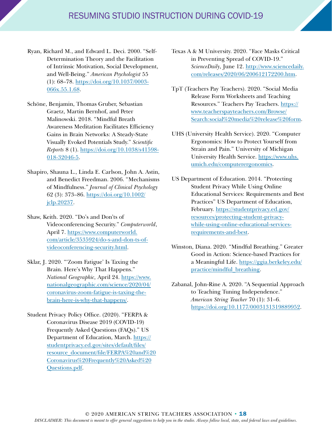- Ryan, Richard M., and Edward L. Deci. 2000. "Self-Determination Theory and the Facilitation of Intrinsic Motivation, Social Development, and Well-Being." *American Psychologist* 55 (1): 68–78. [https://doi.org/10.1037/0003-](https://doi.org/10.1037/0003-066x.55.1.68) [066x.55.1.68.](https://doi.org/10.1037/0003-066x.55.1.68)
- Schöne, Benjamin, Thomas Gruber, Sebastian Graetz, Martin Bernhof, and Peter Malinowski. 2018. "Mindful Breath Awareness Meditation Facilitates Efficiency Gains in Brain Networks: A Steady-State Visually Evoked Potentials Study." *Scientific Reports* 8 (1). [https://doi.org/10.1038/s41598-](https://doi.org/10.1038/s41598-018-32046-5) [018-32046-5](https://doi.org/10.1038/s41598-018-32046-5).
- Shapiro, Shauna L., Linda E. Carlson, John A. Astin, and Benedict Freedman. 2006. "Mechanisms of Mindfulness." *Journal of Clinical Psychology* 62 (3): 373–86. [https://doi.org/10.1002/](https://doi.org/10.1002/jclp.20237) [jclp.20237.](https://doi.org/10.1002/jclp.20237)
- Shaw, Keith. 2020. "Do's and Don'ts of Videoconferencing Security." *Computerworld*, April 7. [https://www.computerworld.](https://www.computerworld.com/article/3535924/do-s-and-don-ts-of-videoconferencing-security.html) [com/article/3535924/do-s-and-don-ts-of](https://www.computerworld.com/article/3535924/do-s-and-don-ts-of-videoconferencing-security.html)[videoconferencing-security.html](https://www.computerworld.com/article/3535924/do-s-and-don-ts-of-videoconferencing-security.html).
- Sklar, J. 2020. "'Zoom Fatigue' Is Taxing the Brain. Here's Why That Happens." *National Geographic,* April 24. [https://www.](https://www.nationalgeographic.com/science/2020/04/coronavirus-zoom-fatigue-is-taxing-the-brain-here-is-why-that-happens/) [nationalgeographic.com/science/2020/04/](https://www.nationalgeographic.com/science/2020/04/coronavirus-zoom-fatigue-is-taxing-the-brain-here-is-why-that-happens/) [coronavirus-zoom-fatigue-is-taxing-the](https://www.nationalgeographic.com/science/2020/04/coronavirus-zoom-fatigue-is-taxing-the-brain-here-is-why-that-happens/)[brain-here-is-why-that-happens/](https://www.nationalgeographic.com/science/2020/04/coronavirus-zoom-fatigue-is-taxing-the-brain-here-is-why-that-happens/).
- Student Privacy Policy Office. (2020). "FERPA & Coronavirus Disease 2019 (COVID-19) Frequently Asked Questions (FAQs)." US Department of Education, March. [https://](https://studentprivacy.ed.gov/sites/default/files/resource_document/file/FERPA%20and%20Coronavirus%20Frequently%20Asked%20Questions.pdf) [studentprivacy.ed.gov/sites/default/files/](https://studentprivacy.ed.gov/sites/default/files/resource_document/file/FERPA%20and%20Coronavirus%20Frequently%20Asked%20Questions.pdf) [resource\\_document/file/FERPA%20and%20](https://studentprivacy.ed.gov/sites/default/files/resource_document/file/FERPA%20and%20Coronavirus%20Frequently%20Asked%20Questions.pdf) [Coronavirus%20Frequently%20Asked%20](https://studentprivacy.ed.gov/sites/default/files/resource_document/file/FERPA%20and%20Coronavirus%20Frequently%20Asked%20Questions.pdf) [Questions.pdf](https://studentprivacy.ed.gov/sites/default/files/resource_document/file/FERPA%20and%20Coronavirus%20Frequently%20Asked%20Questions.pdf).
- Texas A & M University. 2020. "Face Masks Critical in Preventing Spread of COVID-19." *ScienceDaily*, June 12. [http://www.sciencedaily.](http://www.sciencedaily.com/releases/2020/06/200612172200.htm) [com/releases/2020/06/200612172200.htm.](http://www.sciencedaily.com/releases/2020/06/200612172200.htm)
- TpT (Teachers Pay Teachers). 2020. "Social Media Release Form Worksheets and Teaching Resources." Teachers Pay Teachers. [https://](https://www.teacherspayteachers.com/Browse/Search:social%20media%20release%20form) [www.teacherspayteachers.com/Browse/](https://www.teacherspayteachers.com/Browse/Search:social%20media%20release%20form) [Search:social%20media%20release%20form](https://www.teacherspayteachers.com/Browse/Search:social%20media%20release%20form).
- UHS (University Health Service). 2020. "Computer Ergonomics: How to Protect Yourself from Strain and Pain." University of Michigan University Health Service. [https://www.uhs.](https://www.uhs.umich.edu/computerergonomics) [umich.edu/computerergonomics.](https://www.uhs.umich.edu/computerergonomics)
- US Department of Education. 2014. "Protecting Student Privacy While Using Online Educational Services: Requirements and Best Practices" US Department of Education, February. [https://studentprivacy.ed.gov/](https://studentprivacy.ed.gov/resources/protecting-student-privacy-while-using-online-educational-services-requirements-and-best) [resources/protecting-student-privacy](https://studentprivacy.ed.gov/resources/protecting-student-privacy-while-using-online-educational-services-requirements-and-best)[while-using-online-educational-services](https://studentprivacy.ed.gov/resources/protecting-student-privacy-while-using-online-educational-services-requirements-and-best)[requirements-and-best.](https://studentprivacy.ed.gov/resources/protecting-student-privacy-while-using-online-educational-services-requirements-and-best)
- Winston, Diana. 2020. "Mindful Breathing." Greater Good in Action: Science-based Practices for a Meaningful Life. [https://ggia.berkeley.edu/](https://ggia.berkeley.edu/practice/mindful_breathing) [practice/mindful\\_breathing](https://ggia.berkeley.edu/practice/mindful_breathing).
- Zabanal, John-Rine A. 2020. "A Sequential Approach to Teaching Tuning Independence." *American String Teacher* 70 (1): 31–6. [https://doi.org/10.1177/0003131319889952.](https://doi.org/10.1177/0003131319889952)